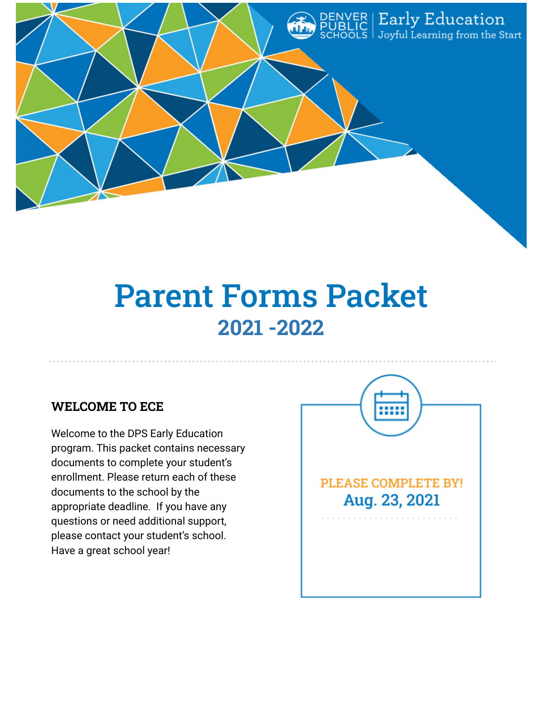

# Parent Forms Packet **2021 -2022**

# **WELCOME TO ECE**

Welcome to the DPS Early Education program. This packet contains necessary documents to complete your student's enrollment. Please return each of these documents to the school by the appropriate deadline. If you have any questions or need additional support, please contact your student's school. Have a great school year!

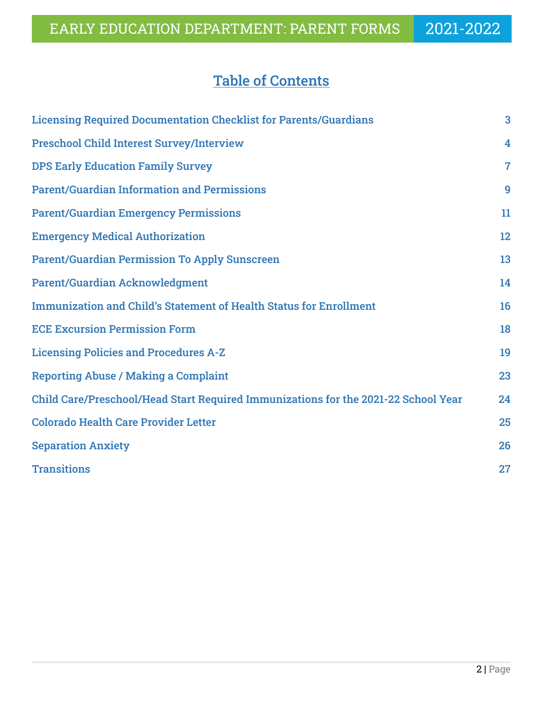# Table of Contents

| <b>Licensing Required Documentation Checklist for Parents/Guardians</b>            | 3              |
|------------------------------------------------------------------------------------|----------------|
| <b>Preschool Child Interest Survey/Interview</b>                                   | 4              |
| <b>DPS Early Education Family Survey</b>                                           | $\overline{7}$ |
| <b>Parent/Guardian Information and Permissions</b>                                 | 9              |
| <b>Parent/Guardian Emergency Permissions</b>                                       | 11             |
| <b>Emergency Medical Authorization</b>                                             | 12             |
| <b>Parent/Guardian Permission To Apply Sunscreen</b>                               | 13             |
| <b>Parent/Guardian Acknowledgment</b>                                              | 14             |
| <b>Immunization and Child's Statement of Health Status for Enrollment</b>          | 16             |
| <b>ECE Excursion Permission Form</b>                                               | 18             |
| <b>Licensing Policies and Procedures A-Z</b>                                       | 19             |
| <b>Reporting Abuse / Making a Complaint</b>                                        | 23             |
| Child Care/Preschool/Head Start Required Immunizations for the 2021-22 School Year | 24             |
| <b>Colorado Health Care Provider Letter</b>                                        | 25             |
| <b>Separation Anxiety</b>                                                          | 26             |
| <b>Transitions</b>                                                                 | 27             |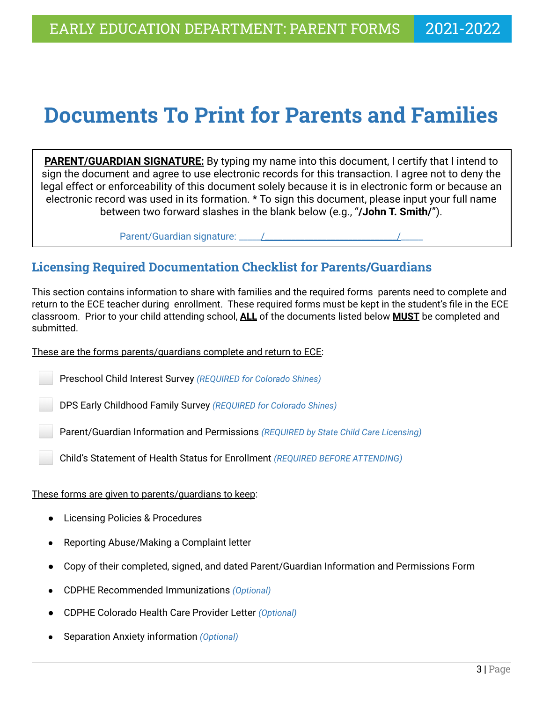# **Documents To Print for Parents and Families**

**PARENT/GUARDIAN SIGNATURE:** By typing my name into this document, I certify that I intend to sign the document and agree to use electronic records for this transaction. I agree not to deny the legal effect or enforceability of this document solely because it is in electronic form or because an electronic record was used in its formation. \* To sign this document, please input your full name between two forward slashes in the blank below (e.g., "**/John T. Smith/**").

Parent/Guardian signature: \_\_\_\_\_/\_\_\_\_\_\_\_\_\_\_\_\_\_\_\_\_\_\_\_\_\_\_\_\_\_\_\_\_\_\_/\_\_\_\_\_

# **Licensing Required Documentation Checklist for Parents/Guardians**

This section contains information to share with families and the required forms parents need to complete and return to the ECE teacher during enrollment. These required forms must be kept in the student's file in the ECE classroom. Prior to your child attending school, **ALL** of the documents listed below **MUST** be completed and submitted.

### These are the forms parents/guardians complete and return to ECE:

⬜ Preschool Child Interest Survey *(REQUIRED for Colorado Shines)*

⬜ DPS Early Childhood Family Survey *(REQUIRED for Colorado Shines)*

⬜ Parent/Guardian Information and Permissions *(REQUIRED by State Child Care Licensing)*

⬜ Child's Statement of Health Status for Enrollment *(REQUIRED BEFORE ATTENDING)*

### These forms are given to parents/guardians to keep:

- Licensing Policies & Procedures
- Reporting Abuse/Making a Complaint letter
- Copy of their completed, signed, and dated Parent/Guardian Information and Permissions Form
- *●* CDPHE Recommended Immunizations *(Optional)*
- CDPHE Colorado Health Care Provider Letter *(Optional)*
- Separation Anxiety information *(Optional)*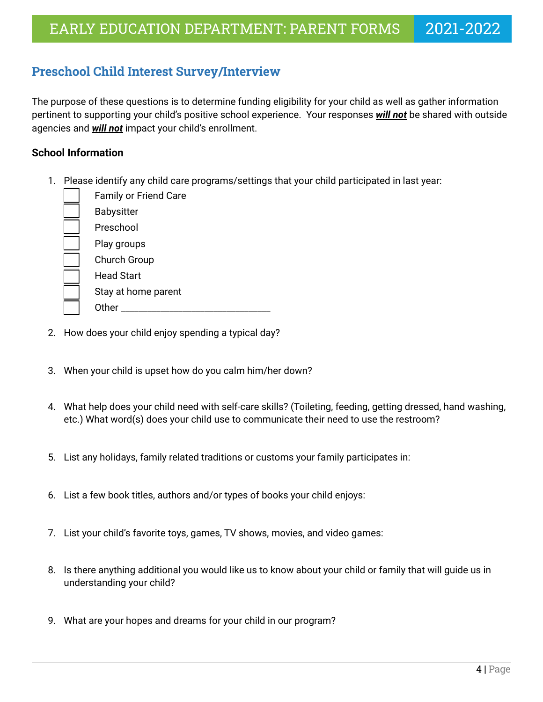# **Preschool Child Interest Survey/Interview**

The purpose of these questions is to determine funding eligibility for your child as well as gather information pertinent to supporting your child's positive school experience. Your responses *will not* be shared with outside agencies and *will not* impact your child's enrollment.

### **School Information**

1. Please identify any child care programs/settings that your child participated in last year:

| <b>Family or Friend Care</b> |
|------------------------------|
| Babysitter                   |
| Preschool                    |
| Play groups                  |
| <b>Church Group</b>          |
| <b>Head Start</b>            |
| Stay at home parent          |
| ∩ther                        |

- 2. How does your child enjoy spending a typical day?
- 3. When your child is upset how do you calm him/her down?
- 4. What help does your child need with self-care skills? (Toileting, feeding, getting dressed, hand washing, etc.) What word(s) does your child use to communicate their need to use the restroom?
- 5. List any holidays, family related traditions or customs your family participates in:
- 6. List a few book titles, authors and/or types of books your child enjoys:
- 7. List your child's favorite toys, games, TV shows, movies, and video games:
- 8. Is there anything additional you would like us to know about your child or family that will guide us in understanding your child?
- 9. What are your hopes and dreams for your child in our program?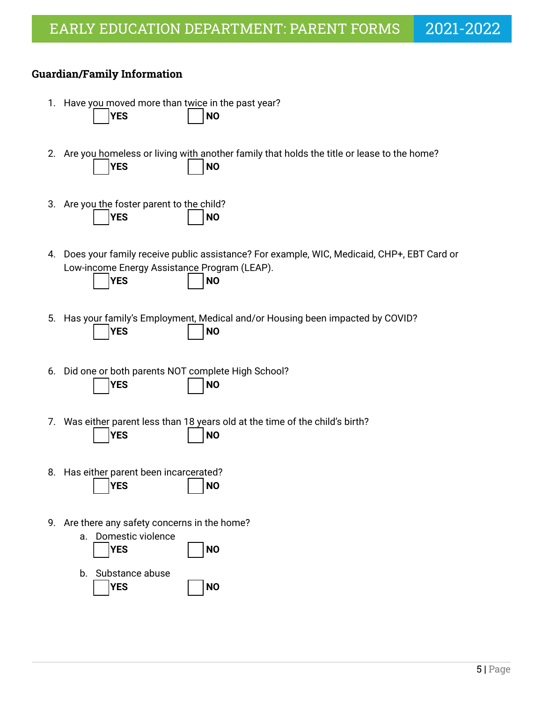### **Guardian/Family Information**

- 1. Have you moved more than twice in the past year? ⬜ **YES** ⬜ **NO**
- 2. Are you homeless or living with another family that holds the title or lease to the home? ⬜ **YES** ⬜ **NO**
- 3. Are you the foster parent to the child? ⬜ **YES** ⬜ **NO**
- 4. Does your family receive public assistance? For example, WIC, Medicaid, CHP+, EBT Card or Low-income Energy Assistance Program (LEAP).

| <b>IYES</b> |  | I NO |
|-------------|--|------|
|-------------|--|------|

- 
- 5. Has your family's Employment, Medical and/or Housing been impacted by COVID? ⬜ **YES** ⬜ **NO**
- 6. Did one or both parents NOT complete High School? ⬜ **YES** ⬜ **NO**
- 7. Was either parent less than 18 years old at the time of the child's birth? ⬜ **YES** ⬜ **NO**
- 8. Has either parent been incarcerated? ⬜ **YES** ⬜ **NO**
- 9. Are there any safety concerns in the home?

| a. | Domestic violence<br><b>YES</b> | <b>NO</b> |
|----|---------------------------------|-----------|
| b. | Substance abuse<br>YES          | <b>NO</b> |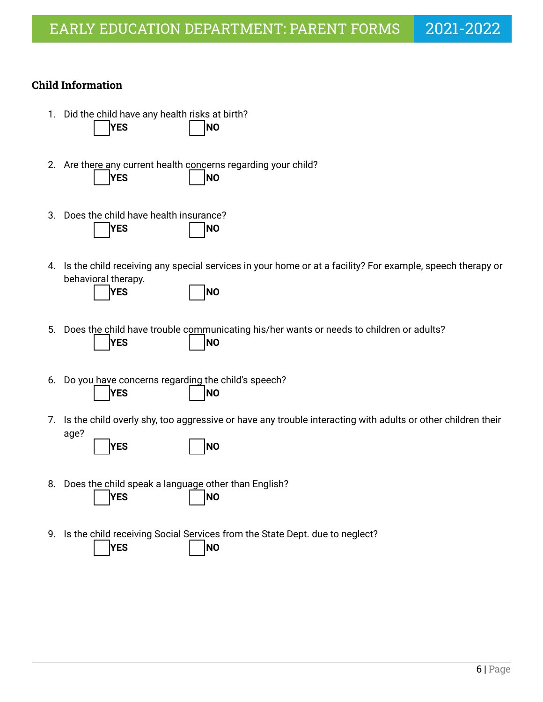### **Child Information**

- 1. Did the child have any health risks at birth? ⬜ **YES** ⬜ **NO**
- 2. Are there any current health concerns regarding your child? ⬜ **YES** ⬜ **NO**
- 3. Does the child have health insurance? ⬜ **YES** ⬜ **NO**
- 4. Is the child receiving any special services in your home or at a facility? For example, speech therapy or behavioral therapy.

- 5. Does the child have trouble communicating his/her wants or needs to children or adults? ⬜ **YES** ⬜ **NO**
- 6. Do you have concerns regarding the child's speech? ⬜ **YES** ⬜ **NO**
- 7. Is the child overly shy, too aggressive or have any trouble interacting with adults or other children their age?

|             | <b>INO</b> |
|-------------|------------|
| <b>IYES</b> |            |

- 8. Does the child speak a language other than English? ⬜ **YES** ⬜ **NO**
- 9. Is the child receiving Social Services from the State Dept. due to neglect?

⬜ **YES** ⬜ **NO**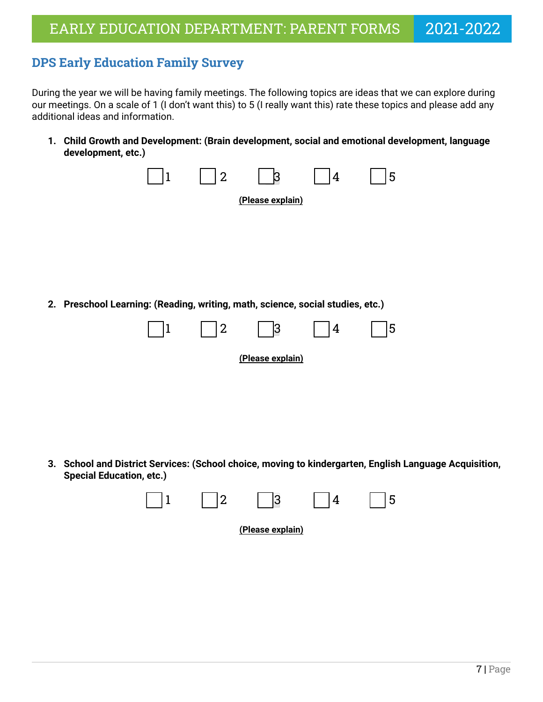# <span id="page-6-0"></span>**DPS Early Education Family Survey**

During the year we will be having family meetings. The following topics are ideas that we can explore during our meetings. On a scale of 1 (I don't want this) to 5 (I really want this) rate these topics and please add any additional ideas and information.

**1. Child Growth and Development: (Brain development, social and emotional development, language development, etc.)**



**3. School and District Services: (School choice, moving to kindergarten, English Language Acquisition, Special Education, etc.)**

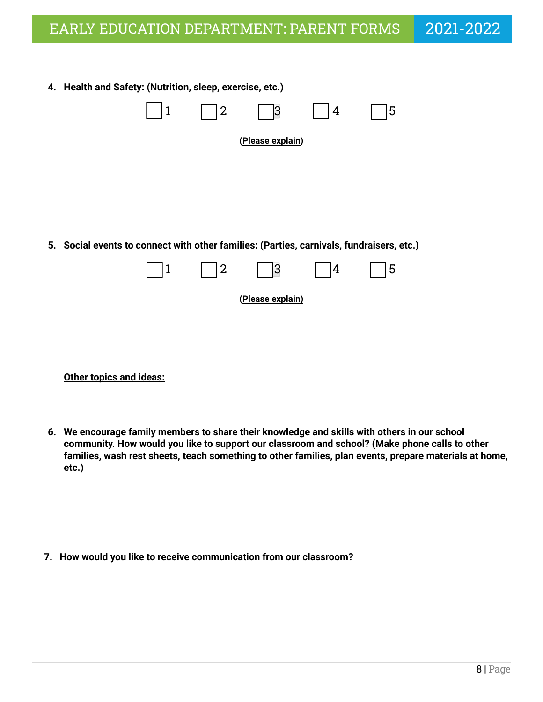| 4. Health and Safety: (Nutrition, sleep, exercise, etc.)                                 |             |                |                  |   |   |
|------------------------------------------------------------------------------------------|-------------|----------------|------------------|---|---|
|                                                                                          | $\mathbf 1$ | 2              | 3                | 4 | 5 |
|                                                                                          |             |                | (Please explain) |   |   |
|                                                                                          |             |                |                  |   |   |
|                                                                                          |             |                |                  |   |   |
| 5. Social events to connect with other families: (Parties, carnivals, fundraisers, etc.) |             |                |                  |   |   |
|                                                                                          | $\mathbf 1$ | $\overline{2}$ | 3                | 4 | 5 |
|                                                                                          |             |                | (Please explain) |   |   |
|                                                                                          |             |                |                  |   |   |

**Other topics and ideas:**

**6. We encourage family members to share their knowledge and skills with others in our school community. How would you like to support our classroom and school? (Make phone calls to other families, wash rest sheets, teach something to other families, plan events, prepare materials at home, etc.)**

**7. How would you like to receive communication from our classroom?**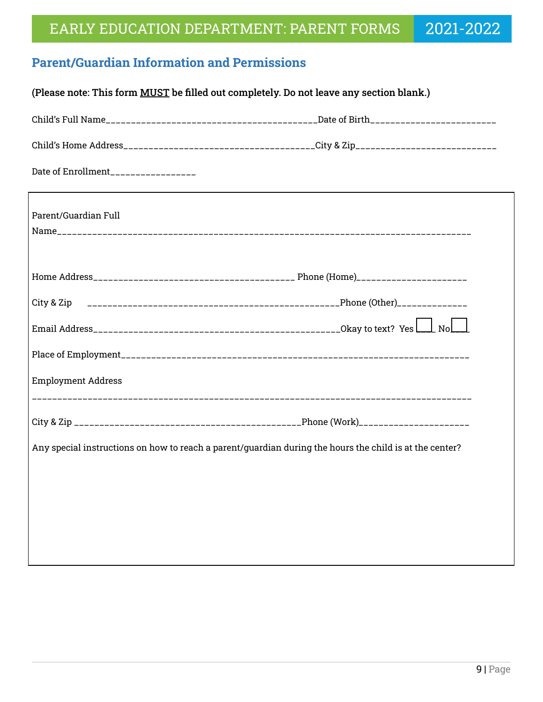# <span id="page-8-0"></span>**Parent/Guardian Information and Permissions**

| (Please note: This form MUST be filled out completely. Do not leave any section blank.) |                                                                                                         |  |  |  |  |
|-----------------------------------------------------------------------------------------|---------------------------------------------------------------------------------------------------------|--|--|--|--|
|                                                                                         |                                                                                                         |  |  |  |  |
|                                                                                         |                                                                                                         |  |  |  |  |
| Date of Enrollment_________________                                                     |                                                                                                         |  |  |  |  |
| Parent/Guardian Full                                                                    |                                                                                                         |  |  |  |  |
|                                                                                         |                                                                                                         |  |  |  |  |
|                                                                                         |                                                                                                         |  |  |  |  |
|                                                                                         |                                                                                                         |  |  |  |  |
|                                                                                         |                                                                                                         |  |  |  |  |
| <b>Employment Address</b>                                                               |                                                                                                         |  |  |  |  |
|                                                                                         |                                                                                                         |  |  |  |  |
|                                                                                         | Any special instructions on how to reach a parent/guardian during the hours the child is at the center? |  |  |  |  |
|                                                                                         |                                                                                                         |  |  |  |  |
|                                                                                         |                                                                                                         |  |  |  |  |
|                                                                                         |                                                                                                         |  |  |  |  |
|                                                                                         |                                                                                                         |  |  |  |  |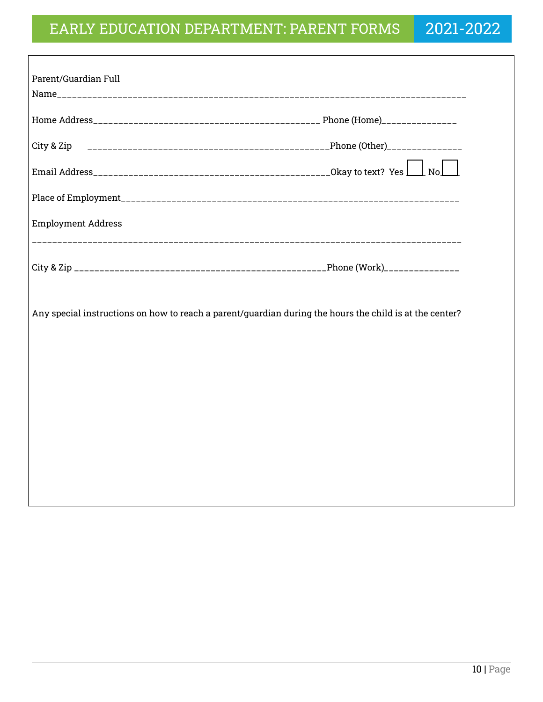| Parent/Guardian Full      |                                                                                                         |
|---------------------------|---------------------------------------------------------------------------------------------------------|
|                           |                                                                                                         |
|                           |                                                                                                         |
|                           |                                                                                                         |
|                           |                                                                                                         |
|                           |                                                                                                         |
| <b>Employment Address</b> |                                                                                                         |
|                           |                                                                                                         |
|                           | Any special instructions on how to reach a parent/guardian during the hours the child is at the center? |
|                           |                                                                                                         |
|                           |                                                                                                         |
|                           |                                                                                                         |
|                           |                                                                                                         |
|                           |                                                                                                         |
|                           |                                                                                                         |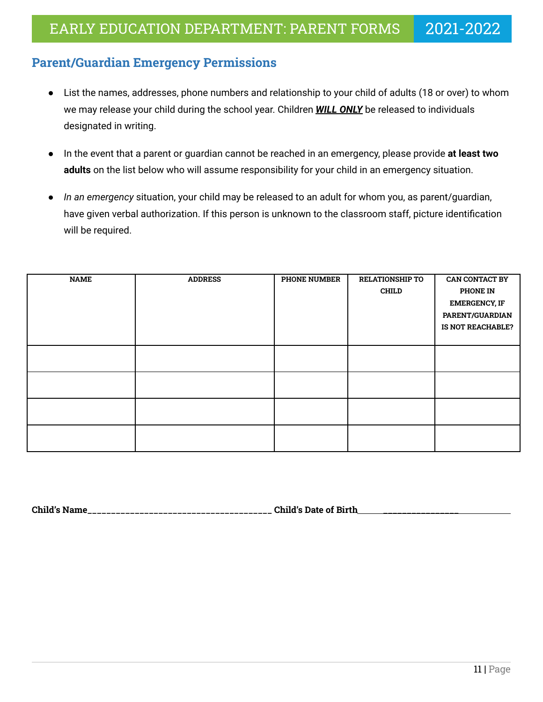### <span id="page-10-0"></span>**Parent/Guardian Emergency Permissions**

- List the names, addresses, phone numbers and relationship to your child of adults (18 or over) to whom we may release your child during the school year. Children *WILL ONLY* be released to individuals designated in writing.
- In the event that a parent or guardian cannot be reached in an emergency, please provide **at least two adults** on the list below who will assume responsibility for your child in an emergency situation.
- *In an emergency* situation, your child may be released to an adult for whom you, as parent/guardian, have given verbal authorization. If this person is unknown to the classroom staff, picture identification will be required.

| <b>NAME</b> | <b>ADDRESS</b> | <b>PHONE NUMBER</b> | <b>RELATIONSHIP TO</b> | <b>CAN CONTACT BY</b> |
|-------------|----------------|---------------------|------------------------|-----------------------|
|             |                |                     | <b>CHILD</b>           | <b>PHONE IN</b>       |
|             |                |                     |                        | <b>EMERGENCY, IF</b>  |
|             |                |                     |                        | PARENT/GUARDIAN       |
|             |                |                     |                        | IS NOT REACHABLE?     |
|             |                |                     |                        |                       |
|             |                |                     |                        |                       |
|             |                |                     |                        |                       |
|             |                |                     |                        |                       |
|             |                |                     |                        |                       |
|             |                |                     |                        |                       |
|             |                |                     |                        |                       |
|             |                |                     |                        |                       |
|             |                |                     |                        |                       |

**Child's Name\_\_\_\_\_\_\_\_\_\_\_\_\_\_\_\_\_\_\_\_\_\_\_\_\_\_\_\_\_\_\_\_\_\_\_\_\_\_\_ Child's Date of Birth \_\_\_\_\_\_\_\_\_\_\_\_\_\_\_\_**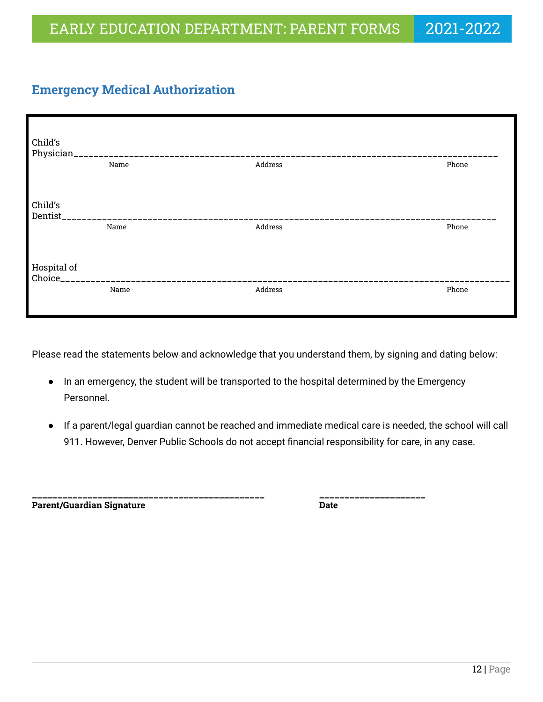# <span id="page-11-0"></span>**Emergency Medical Authorization**

| Child's<br>Physician_     | _________________________________ |         |       |
|---------------------------|-----------------------------------|---------|-------|
|                           | Name                              | Address | Phone |
|                           |                                   |         |       |
| Child's                   |                                   |         |       |
| Dentist                   |                                   |         |       |
|                           | Name                              | Address | Phone |
| Hospital of<br>Choice____ |                                   |         |       |
|                           | Name                              | Address | Phone |

Please read the statements below and acknowledge that you understand them, by signing and dating below:

- In an emergency, the student will be transported to the hospital determined by the Emergency Personnel.
- If a parent/legal guardian cannot be reached and immediate medical care is needed, the school will call 911. However, Denver Public Schools do not accept financial responsibility for care, in any case.

\_\_\_\_\_\_\_\_\_\_\_\_\_\_\_\_\_\_\_\_\_\_\_\_\_\_\_\_\_\_\_\_\_\_\_\_\_\_\_\_\_\_\_\_\_\_ \_\_\_\_\_\_\_\_\_\_\_\_\_\_\_\_\_\_\_\_\_ **Parent/Guardian Signature Date**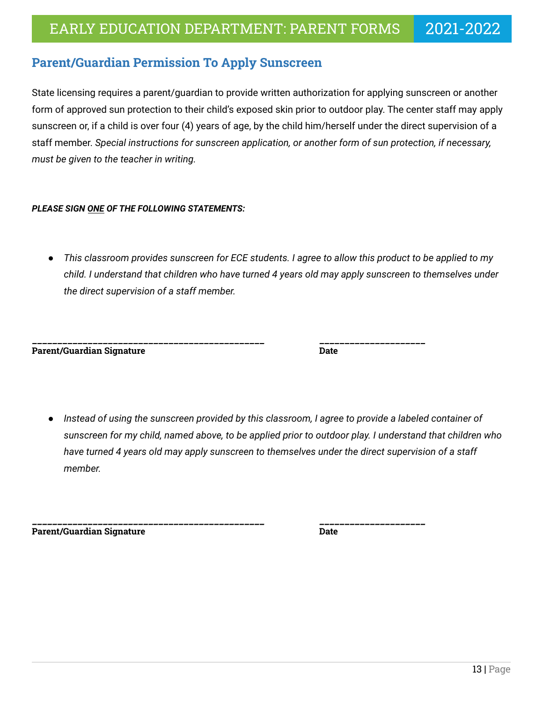### <span id="page-12-0"></span>**Parent/Guardian Permission To Apply Sunscreen**

State licensing requires a parent/guardian to provide written authorization for applying sunscreen or another form of approved sun protection to their child's exposed skin prior to outdoor play. The center staff may apply sunscreen or, if a child is over four (4) years of age, by the child him/herself under the direct supervision of a staff member. *Special instructions for sunscreen application, or another form of sun protection, if necessary, must be given to the teacher in writing.*

### *PLEASE SIGN ONE OF THE FOLLOWING STATEMENTS:*

*● This classroom provides sunscreen for ECE students. I agree to allow this product to be applied to my child. I understand that children who have turned 4 years old may apply sunscreen to themselves under the direct supervision of a staff member.*

**Parent/Guardian Signature Date**

\_\_\_\_\_\_\_\_\_\_\_\_\_\_\_\_\_\_\_\_\_\_\_\_\_\_\_\_\_\_\_\_\_\_\_\_\_\_\_\_\_\_\_\_\_\_ \_\_\_\_\_\_\_\_\_\_\_\_\_\_\_\_\_\_\_\_\_

Instead of using the sunscreen provided by this classroom, I agree to provide a labeled container of *sunscreen for my child, named above, to be applied prior to outdoor play. I understand that children who have turned 4 years old may apply sunscreen to themselves under the direct supervision of a staff member.*

\_\_\_\_\_\_\_\_\_\_\_\_\_\_\_\_\_\_\_\_\_\_\_\_\_\_\_\_\_\_\_\_\_\_\_\_\_\_\_\_\_\_\_\_\_\_ \_\_\_\_\_\_\_\_\_\_\_\_\_\_\_\_\_\_\_\_\_

**Parent/Guardian Signature Date**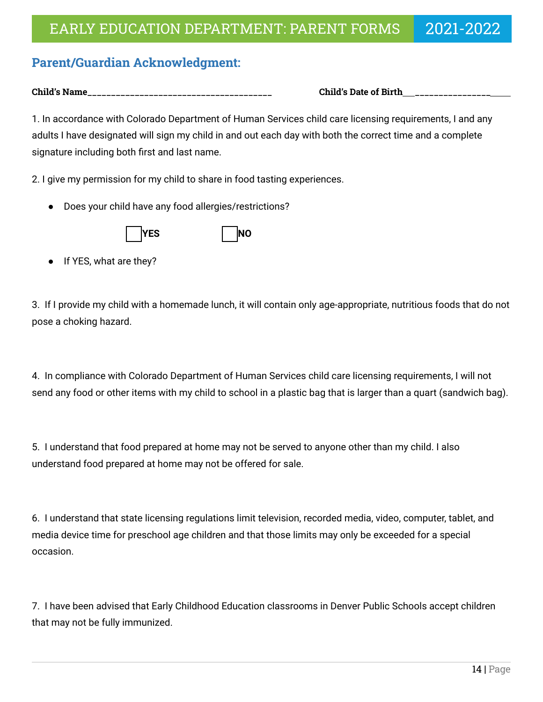# <span id="page-13-0"></span>**Parent/Guardian Acknowledgment:**

**Child's Name\_\_\_\_\_\_\_\_\_\_\_\_\_\_\_\_\_\_\_\_\_\_\_\_\_\_\_\_\_\_\_\_\_\_\_\_\_\_\_ Child's Date of Birth \_\_\_\_\_\_\_\_\_\_\_\_\_\_\_\_**

1. In accordance with Colorado Department of Human Services child care licensing requirements, I and any adults I have designated will sign my child in and out each day with both the correct time and a complete signature including both first and last name.

2. I give my permission for my child to share in food tasting experiences.

● Does your child have any food allergies/restrictions?



If YES, what are they?

3. If I provide my child with a homemade lunch, it will contain only age-appropriate, nutritious foods that do not pose a choking hazard.

4. In compliance with Colorado Department of Human Services child care licensing requirements, I will not send any food or other items with my child to school in a plastic bag that is larger than a quart (sandwich bag).

5. I understand that food prepared at home may not be served to anyone other than my child. I also understand food prepared at home may not be offered for sale.

6. I understand that state licensing regulations limit television, recorded media, video, computer, tablet, and media device time for preschool age children and that those limits may only be exceeded for a special occasion.

7. I have been advised that Early Childhood Education classrooms in Denver Public Schools accept children that may not be fully immunized.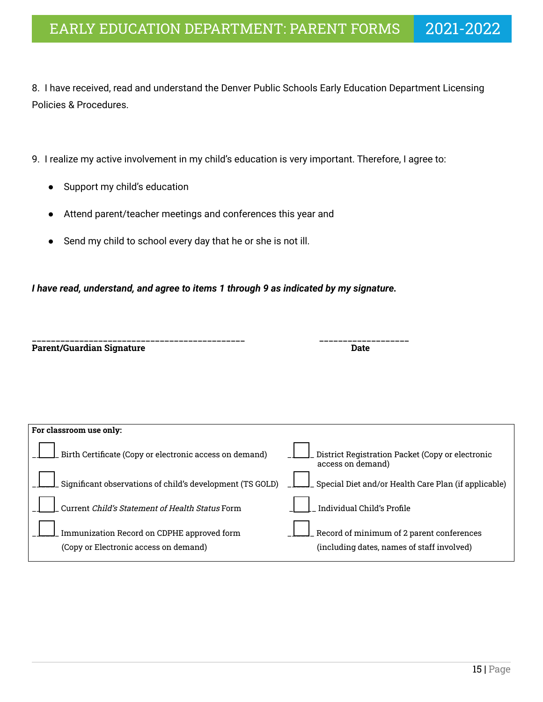8. I have received, read and understand the Denver Public Schools Early Education Department Licensing Policies & Procedures.

- 9. I realize my active involvement in my child's education is very important. Therefore, I agree to:
	- Support my child's education
	- Attend parent/teacher meetings and conferences this year and
	- Send my child to school every day that he or she is not ill.

*I have read, understand, and agree to items 1 through 9 as indicated by my signature.*

|                                  | ----------------------- |
|----------------------------------|-------------------------|
| <b>Parent/Guardian Signature</b> |                         |

| For classroom use only:                                                             |                                                                                         |
|-------------------------------------------------------------------------------------|-----------------------------------------------------------------------------------------|
| Birth Certificate (Copy or electronic access on demand)                             | District Registration Packet (Copy or electronic<br>access on demand)                   |
| Significant observations of child's development (TS GOLD)                           | Special Diet and/or Health Care Plan (if applicable)                                    |
| Current Child's Statement of Health Status Form                                     | Individual Child's Profile                                                              |
| Immunization Record on CDPHE approved form<br>(Copy or Electronic access on demand) | Record of minimum of 2 parent conferences<br>(including dates, names of staff involved) |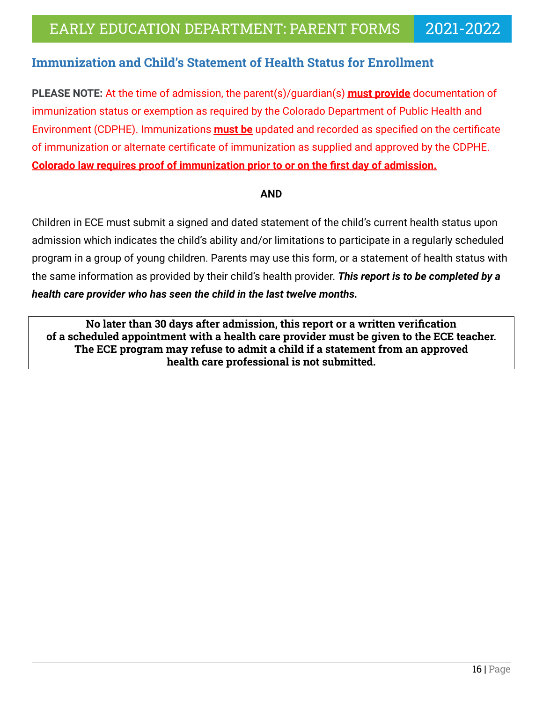# **Immunization and Child's Statement of Health Status for Enrollment**

**PLEASE NOTE:** At the time of admission, the parent(s)/guardian(s) **must provide** documentation of immunization status or exemption as required by the Colorado Department of Public Health and Environment (CDPHE). Immunizations **must be** updated and recorded as specified on the certificate of immunization or alternate certificate of immunization as supplied and approved by the CDPHE. **Colorado law requires proof of immunization prior to or on the first day of admission.**

### **AND**

Children in ECE must submit a signed and dated statement of the child's current health status upon admission which indicates the child's ability and/or limitations to participate in a regularly scheduled program in a group of young children. Parents may use this form, or a statement of health status with the same information as provided by their child's health provider. *This report is to be completed by a health care provider who has seen the child in the last twelve months.*

**No later than 30 days after admission, this report or a written verification of a scheduled appointment with a health care provider must be given to the ECE teacher. The ECE program may refuse to admit a child if a statement from an approved health care professional is not submitted.**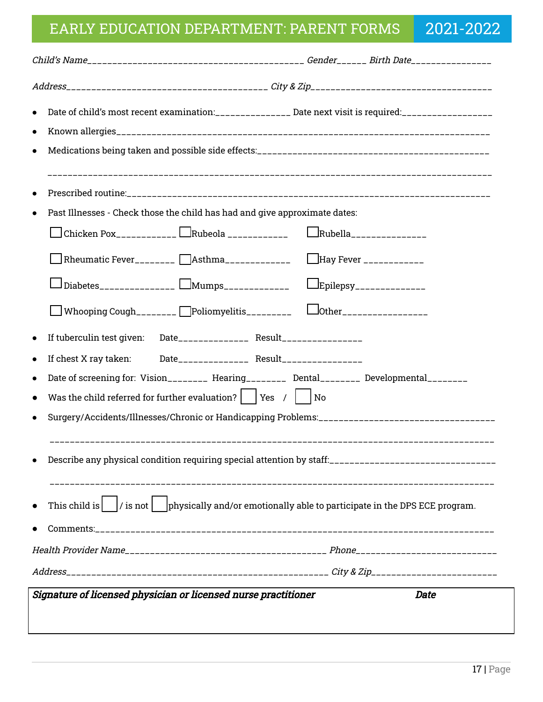# EARLY EDUCATION DEPARTMENT: PARENT FORMS 2021-2022

| Date of child's most recent examination:_______________ Date next visit is required:_________________<br>$\bullet$                                                                                                                                                                                           |                            |                                |
|--------------------------------------------------------------------------------------------------------------------------------------------------------------------------------------------------------------------------------------------------------------------------------------------------------------|----------------------------|--------------------------------|
| $\bullet$<br>Past Illnesses - Check those the child has had and give approximate dates:<br>Chicken Pox___________ $\Box$ Rubeola ____________<br>Rheumatic Fever________ [Asthma_____________ [Hay Fever ___________<br>Diabetes______________ $\Box$ Mumps____________                                      | $L$ Epilepsy______________ | $\Box$ Rubella________________ |
| Whooping Cough________ Deliomyelitis_________ Lother________________<br>If tuberculin test given:<br>$\bullet$<br>If chest X ray taken:<br>Date of screening for: Vision_________ Hearing_________ Dental________ Developmental________<br>Was the child referred for further evaluation? $ $   Yes /     No |                            |                                |
| Describe any physical condition requiring special attention by staff:<br><br>This child is $\vert$ / is not $\vert$ $\vert$ physically and/or emotionally able to participate in the DPS ECE program.                                                                                                        |                            |                                |
| Signature of licensed physician or licensed nurse practitioner                                                                                                                                                                                                                                               |                            |                                |
|                                                                                                                                                                                                                                                                                                              |                            | <b>Date</b>                    |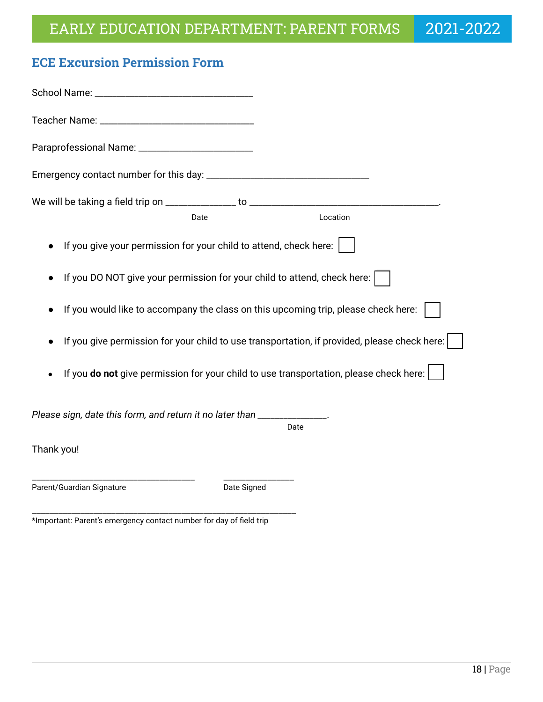# <span id="page-17-0"></span>**ECE Excursion Permission Form**

| Date                                                                                         | Location |  |  |
|----------------------------------------------------------------------------------------------|----------|--|--|
| If you give your permission for your child to attend, check here:                            |          |  |  |
| If you DO NOT give your permission for your child to attend, check here:                     |          |  |  |
| If you would like to accompany the class on this upcoming trip, please check here:           |          |  |  |
| If you give permission for your child to use transportation, if provided, please check here: |          |  |  |
| If you do not give permission for your child to use transportation, please check here:       |          |  |  |
| Please sign, date this form, and return it no later than _____________                       | Date     |  |  |
| Thank you!                                                                                   |          |  |  |
| Parent/Guardian Signature<br>Date Signed                                                     |          |  |  |

\_\_\_\_\_\_\_\_\_\_\_\_\_\_\_\_\_\_\_\_\_\_\_\_\_\_\_\_\_\_\_\_\_\_\_\_\_\_\_\_\_\_\_\_\_\_\_\_\_\_\_\_\_\_\_\_\_\_\_\_ \*Important: Parent's emergency contact number for day of field trip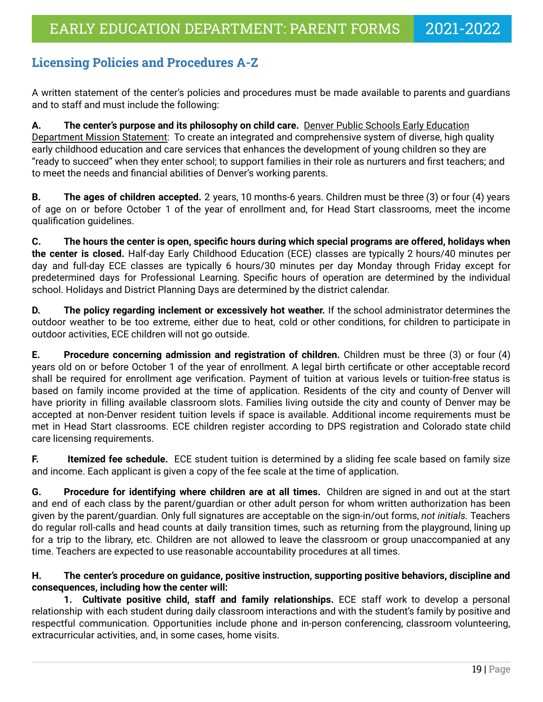# <span id="page-18-0"></span>**Licensing Policies and Procedures A-Z**

A written statement of the center's policies and procedures must be made available to parents and guardians and to staff and must include the following:

**A. The center's purpose and its philosophy on child care.** Denver Public Schools Early Education Department Mission Statement: To create an integrated and comprehensive system of diverse, high quality early childhood education and care services that enhances the development of young children so they are "ready to succeed" when they enter school; to support families in their role as nurturers and first teachers; and to meet the needs and financial abilities of Denver's working parents.

**B. The ages of children accepted.** 2 years, 10 months-6 years. Children must be three (3) or four (4) years of age on or before October 1 of the year of enrollment and, for Head Start classrooms, meet the income qualification guidelines.

**C. The hours the center is open, specific hours during which special programs are offered, holidays when the center is closed.** Half-day Early Childhood Education (ECE) classes are typically 2 hours/40 minutes per day and full-day ECE classes are typically 6 hours/30 minutes per day Monday through Friday except for predetermined days for Professional Learning. Specific hours of operation are determined by the individual school. Holidays and District Planning Days are determined by the district calendar.

**D. The policy regarding inclement or excessively hot weather.** If the school administrator determines the outdoor weather to be too extreme, either due to heat, cold or other conditions, for children to participate in outdoor activities, ECE children will not go outside.

**E. Procedure concerning admission and registration of children.** Children must be three (3) or four (4) years old on or before October 1 of the year of enrollment. A legal birth certificate or other acceptable record shall be required for enrollment age verification. Payment of tuition at various levels or tuition-free status is based on family income provided at the time of application. Residents of the city and county of Denver will have priority in filling available classroom slots. Families living outside the city and county of Denver may be accepted at non-Denver resident tuition levels if space is available. Additional income requirements must be met in Head Start classrooms. ECE children register according to DPS registration and Colorado state child care licensing requirements.

**F.** Itemized fee schedule. ECE student tuition is determined by a sliding fee scale based on family size and income. Each applicant is given a copy of the fee scale at the time of application.

**G. Procedure for identifying where children are at all times.** Children are signed in and out at the start and end of each class by the parent/guardian or other adult person for whom written authorization has been given by the parent/guardian. Only full signatures are acceptable on the sign-in/out forms, *not initials.* Teachers do regular roll-calls and head counts at daily transition times, such as returning from the playground, lining up for a trip to the library, etc. Children are not allowed to leave the classroom or group unaccompanied at any time. Teachers are expected to use reasonable accountability procedures at all times.

### **H. The center's procedure on guidance, positive instruction, supporting positive behaviors, discipline and consequences, including how the center will:**

**1. Cultivate positive child, staff and family relationships.** ECE staff work to develop a personal relationship with each student during daily classroom interactions and with the student's family by positive and respectful communication. Opportunities include phone and in-person conferencing, classroom volunteering, extracurricular activities, and, in some cases, home visits.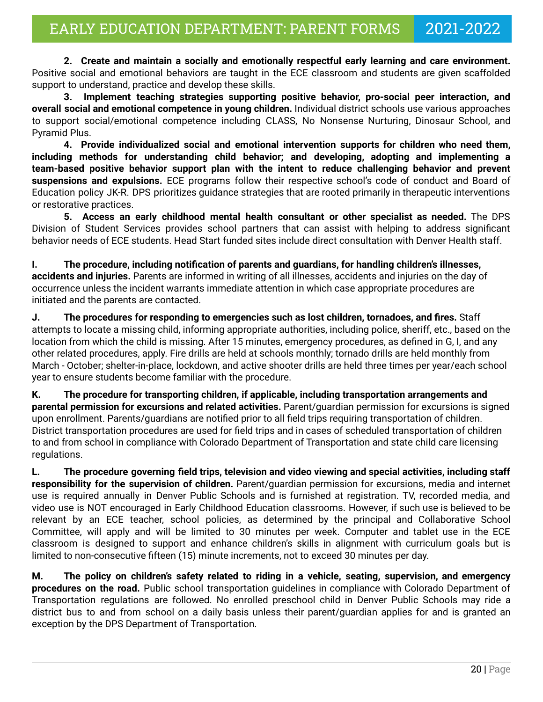**2. Create and maintain a socially and emotionally respectful early learning and care environment.** Positive social and emotional behaviors are taught in the ECE classroom and students are given scaffolded support to understand, practice and develop these skills.

**3. Implement teaching strategies supporting positive behavior, pro-social peer interaction, and overall social and emotional competence in young children.** Individual district schools use various approaches to support social/emotional competence including CLASS, No Nonsense Nurturing, Dinosaur School, and Pyramid Plus.

**4. Provide individualized social and emotional intervention supports for children who need them, including methods for understanding child behavior; and developing, adopting and implementing a team-based positive behavior support plan with the intent to reduce challenging behavior and prevent suspensions and expulsions.** ECE programs follow their respective school's code of conduct and Board of Education policy JK-R. DPS prioritizes guidance strategies that are rooted primarily in therapeutic interventions or restorative practices.

**5. Access an early childhood mental health consultant or other specialist as needed.** The DPS Division of Student Services provides school partners that can assist with helping to address significant behavior needs of ECE students. Head Start funded sites include direct consultation with Denver Health staff.

**I. The procedure, including notification of parents and guardians, for handling children's illnesses, accidents and injuries.** Parents are informed in writing of all illnesses, accidents and injuries on the day of occurrence unless the incident warrants immediate attention in which case appropriate procedures are initiated and the parents are contacted.

**J. The procedures for responding to emergencies such as lost children, tornadoes, and fires.** Staff attempts to locate a missing child, informing appropriate authorities, including police, sheriff, etc., based on the location from which the child is missing. After 15 minutes, emergency procedures, as defined in G, I, and any other related procedures, apply. Fire drills are held at schools monthly; tornado drills are held monthly from March - October; shelter-in-place, lockdown, and active shooter drills are held three times per year/each school year to ensure students become familiar with the procedure.

**K. The procedure for transporting children, if applicable, including transportation arrangements and parental permission for excursions and related activities.** Parent/guardian permission for excursions is signed upon enrollment. Parents/guardians are notified prior to all field trips requiring transportation of children. District transportation procedures are used for field trips and in cases of scheduled transportation of children to and from school in compliance with Colorado Department of Transportation and state child care licensing regulations.

**L. The procedure governing field trips, television and video viewing and special activities, including staff responsibility for the supervision of children.** Parent/guardian permission for excursions, media and internet use is required annually in Denver Public Schools and is furnished at registration. TV, recorded media, and video use is NOT encouraged in Early Childhood Education classrooms. However, if such use is believed to be relevant by an ECE teacher, school policies, as determined by the principal and Collaborative School Committee, will apply and will be limited to 30 minutes per week. Computer and tablet use in the ECE classroom is designed to support and enhance children's skills in alignment with curriculum goals but is limited to non-consecutive fifteen (15) minute increments, not to exceed 30 minutes per day.

**M. The policy on children's safety related to riding in a vehicle, seating, supervision, and emergency procedures on the road.** Public school transportation guidelines in compliance with Colorado Department of Transportation regulations are followed. No enrolled preschool child in Denver Public Schools may ride a district bus to and from school on a daily basis unless their parent/guardian applies for and is granted an exception by the DPS Department of Transportation.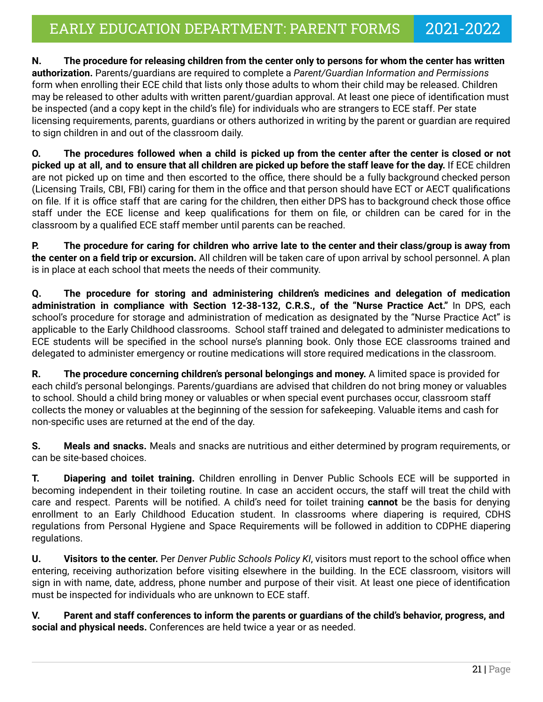**N. The procedure for releasing children from the center only to persons for whom the center has written authorization.** Parents/guardians are required to complete a *Parent/Guardian Information and Permissions* form when enrolling their ECE child that lists only those adults to whom their child may be released. Children may be released to other adults with written parent/guardian approval. At least one piece of identification must be inspected (and a copy kept in the child's file) for individuals who are strangers to ECE staff. Per state licensing requirements, parents, guardians or others authorized in writing by the parent or guardian are required to sign children in and out of the classroom daily.

**O. The procedures followed when a child is picked up from the center after the center is closed or not picked up at all, and to ensure that all children are picked up before the staff leave for the day.** If ECE children are not picked up on time and then escorted to the office, there should be a fully background checked person (Licensing Trails, CBI, FBI) caring for them in the office and that person should have ECT or AECT qualifications on file. If it is office staff that are caring for the children, then either DPS has to background check those office staff under the ECE license and keep qualifications for them on file, or children can be cared for in the classroom by a qualified ECE staff member until parents can be reached.

**P. The procedure for caring for children who arrive late to the center and their class/group is away from the center on a field trip or excursion.** All children will be taken care of upon arrival by school personnel. A plan is in place at each school that meets the needs of their community.

**Q. The procedure for storing and administering children's medicines and delegation of medication administration in compliance with Section 12-38-132, C.R.S., of the "Nurse Practice Act."** In DPS, each school's procedure for storage and administration of medication as designated by the "Nurse Practice Act" is applicable to the Early Childhood classrooms. School staff trained and delegated to administer medications to ECE students will be specified in the school nurse's planning book. Only those ECE classrooms trained and delegated to administer emergency or routine medications will store required medications in the classroom.

**R. The procedure concerning children's personal belongings and money.** A limited space is provided for each child's personal belongings. Parents/guardians are advised that children do not bring money or valuables to school. Should a child bring money or valuables or when special event purchases occur, classroom staff collects the money or valuables at the beginning of the session for safekeeping. Valuable items and cash for non-specific uses are returned at the end of the day.

**S. Meals and snacks.** Meals and snacks are nutritious and either determined by program requirements, or can be site-based choices.

**T. Diapering and toilet training.** Children enrolling in Denver Public Schools ECE will be supported in becoming independent in their toileting routine. In case an accident occurs, the staff will treat the child with care and respect. Parents will be notified. A child's need for toilet training **cannot** be the basis for denying enrollment to an Early Childhood Education student. In classrooms where diapering is required, CDHS regulations from Personal Hygiene and Space Requirements will be followed in addition to CDPHE diapering regulations.

**U. Visitors to the center.** Per *Denver Public Schools Policy KI*, visitors must report to the school office when entering, receiving authorization before visiting elsewhere in the building. In the ECE classroom, visitors will sign in with name, date, address, phone number and purpose of their visit. At least one piece of identification must be inspected for individuals who are unknown to ECE staff.

**V. Parent and staff conferences to inform the parents or guardians of the child's behavior, progress, and social and physical needs.** Conferences are held twice a year or as needed.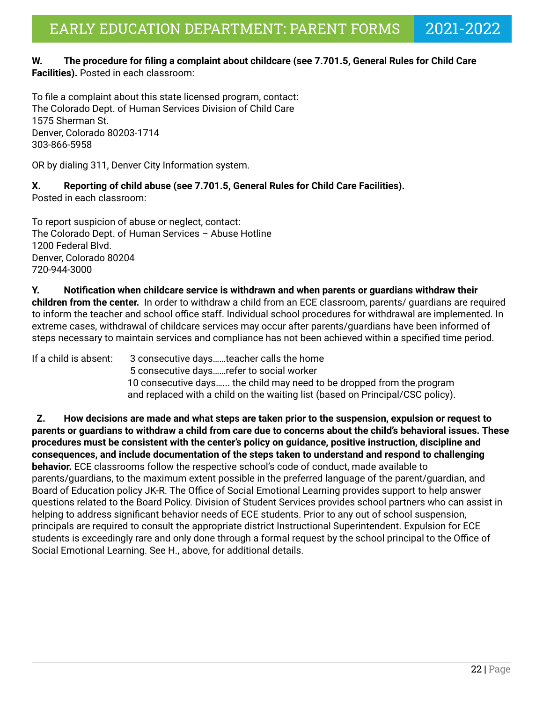#### **W. The procedure for filing a complaint about childcare (see 7.701.5, General Rules for Child Care Facilities).** Posted in each classroom:

To file a complaint about this state licensed program, contact: The Colorado Dept. of Human Services Division of Child Care 1575 Sherman St. Denver, Colorado 80203-1714 303-866-5958

OR by dialing 311, Denver City Information system.

#### **X. Reporting of child abuse (see 7.701.5, General Rules for Child Care Facilities).** Posted in each classroom:

To report suspicion of abuse or neglect, contact: The Colorado Dept. of Human Services – Abuse Hotline 1200 Federal Blvd. Denver, Colorado 80204 720-944-3000

**Y. Notification when childcare service is withdrawn and when parents or guardians withdraw their children from the center.** In order to withdraw a child from an ECE classroom, parents/ guardians are required to inform the teacher and school office staff. Individual school procedures for withdrawal are implemented. In extreme cases, withdrawal of childcare services may occur after parents/guardians have been informed of steps necessary to maintain services and compliance has not been achieved within a specified time period.

If a child is absent: 3 consecutive days……teacher calls the home 5 consecutive days……refer to social worker 10 consecutive days…... the child may need to be dropped from the program and replaced with a child on the waiting list (based on Principal/CSC policy).

**Z. How decisions are made and what steps are taken prior to the suspension, expulsion or request to parents or guardians to withdraw a child from care due to concerns about the child's behavioral issues. These procedures must be consistent with the center's policy on guidance, positive instruction, discipline and consequences, and include documentation of the steps taken to understand and respond to challenging behavior.** ECE classrooms follow the respective school's code of conduct, made available to parents/guardians, to the maximum extent possible in the preferred language of the parent/guardian, and Board of Education policy JK-R. The Office of Social Emotional Learning provides support to help answer questions related to the Board Policy. Division of Student Services provides school partners who can assist in helping to address significant behavior needs of ECE students. Prior to any out of school suspension, principals are required to consult the appropriate district Instructional Superintendent. Expulsion for ECE students is exceedingly rare and only done through a formal request by the school principal to the Office of Social Emotional Learning. See H., above, for additional details.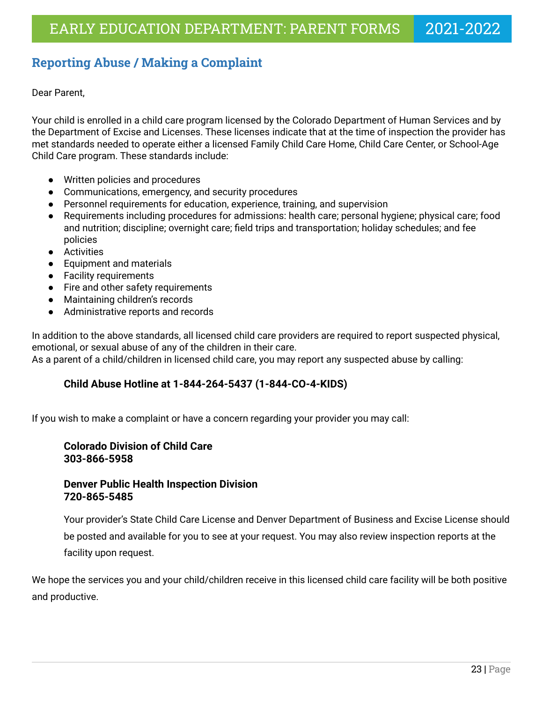# <span id="page-22-0"></span>**Reporting Abuse / Making a Complaint**

Dear Parent,

Your child is enrolled in a child care program licensed by the Colorado Department of Human Services and by the Department of Excise and Licenses. These licenses indicate that at the time of inspection the provider has met standards needed to operate either a licensed Family Child Care Home, Child Care Center, or School-Age Child Care program. These standards include:

- Written policies and procedures
- Communications, emergency, and security procedures
- Personnel requirements for education, experience, training, and supervision
- Requirements including procedures for admissions: health care; personal hygiene; physical care; food and nutrition; discipline; overnight care; field trips and transportation; holiday schedules; and fee policies
- Activities
- Equipment and materials
- Facility requirements
- Fire and other safety requirements
- Maintaining children's records
- Administrative reports and records

In addition to the above standards, all licensed child care providers are required to report suspected physical, emotional, or sexual abuse of any of the children in their care.

As a parent of a child/children in licensed child care, you may report any suspected abuse by calling:

### **Child Abuse Hotline at 1-844-264-5437 (1-844-CO-4-KIDS)**

If you wish to make a complaint or have a concern regarding your provider you may call:

### **Colorado Division of Child Care 303-866-5958**

### **Denver Public Health Inspection Division 720-865-5485**

Your provider's State Child Care License and Denver Department of Business and Excise License should be posted and available for you to see at your request. You may also review inspection reports at the facility upon request.

We hope the services you and your child/children receive in this licensed child care facility will be both positive and productive.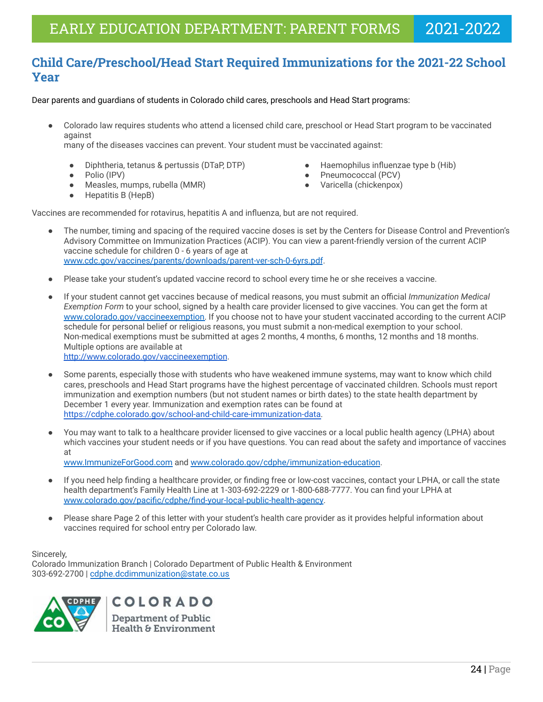# <span id="page-23-0"></span>**Child Care/Preschool/Head Start Required Immunizations for the 2021-22 School Year**

Dear parents and guardians of students in Colorado child cares, preschools and Head Start programs:

Colorado law requires students who attend a licensed child care, preschool or Head Start program to be vaccinated against

many of the diseases vaccines can prevent. Your student must be vaccinated against:

- Diphtheria, tetanus & pertussis (DTaP, DTP) Haemophilus influenzae type b (Hib)
- 

● Hepatitis B (HepB)

- Measles, mumps, rubella (MMR) Varicella (chickenpox)
- 
- Polio (IPV) Pneumococcal (PCV)
	-

Vaccines are recommended for rotavirus, hepatitis A and influenza, but are not required.

- The number, timing and spacing of the required vaccine doses is set by the Centers for Disease Control and Prevention's Advisory Committee on Immunization Practices (ACIP). You can view a parent-friendly version of the current ACIP vaccine schedule for children 0 - 6 years of age at [www.cdc.gov/vaccines/parents/downloads/parent-ver-sch-0-6yrs.pdf](http://www.cdc.gov/vaccines/parents/downloads/parent-ver-sch-0-6yrs.pdf).
- Please take your student's updated vaccine record to school every time he or she receives a vaccine.
- *●* If your student cannot get vaccines because of medical reasons, you must submit an official *Immunization Medical Exemption Form* to your school, signed by a health care provider licensed to give vaccines. You can get the form at [www.colorado.gov/vaccineexemption.](http://www.colorado.gov/vaccineexemption) If you choose not to have your student vaccinated according to the current ACIP schedule for personal belief or religious reasons, you must submit a non-medical exemption to your school. Non-medical exemptions must be submitted at ages 2 months, 4 months, 6 months, 12 months and 18 months. Multiple options are available at <http://www.colorado.gov/vaccineexemption>.
- Some parents, especially those with students who have weakened immune systems, may want to know which child cares, preschools and Head Start programs have the highest percentage of vaccinated children. Schools must report immunization and exemption numbers (but not student names or birth dates) to the state health department by December 1 every year. Immunization and exemption rates can be found at [https://cdphe.colorado.gov/school-and-child-care-immunization-data.](https://cdphe.colorado.gov/school-and-child-care-immunization-data)
- You may want to talk to a healthcare provider licensed to give vaccines or a local public health agency (LPHA) about which vaccines your student needs or if you have questions. You can read about the safety and importance of vaccines at [www.ImmunizeForGood.com](http://www.immunizeforgood.com) and [www.colorado.gov/cdphe/immunization-education.](http://www.colorado.gov/cdphe/immunization-education)
- If you need help finding a healthcare provider, or finding free or low-cost vaccines, contact your LPHA, or call the state health department's Family Health Line at 1-303-692-2229 or 1-800-688-7777. You can find your LPHA at [www.colorado.gov/pacific/cdphe/find-your-local-public-health-agency.](http://www.colorado.gov/pacific/cdphe/find-your-local-public-health-agency)
- Please share Page 2 of this letter with your student's health care provider as it provides helpful information about vaccines required for school entry per Colorado law.

#### Sincerely,

Colorado Immunization Branch | Colorado Department of Public Health & Environment 303-692-2700 | [cdphe.dcdimmunization@state.co.us](mailto:cdphe.dcdimmunization@state.co.us)



COLORADO Department of Public **Health & Environment**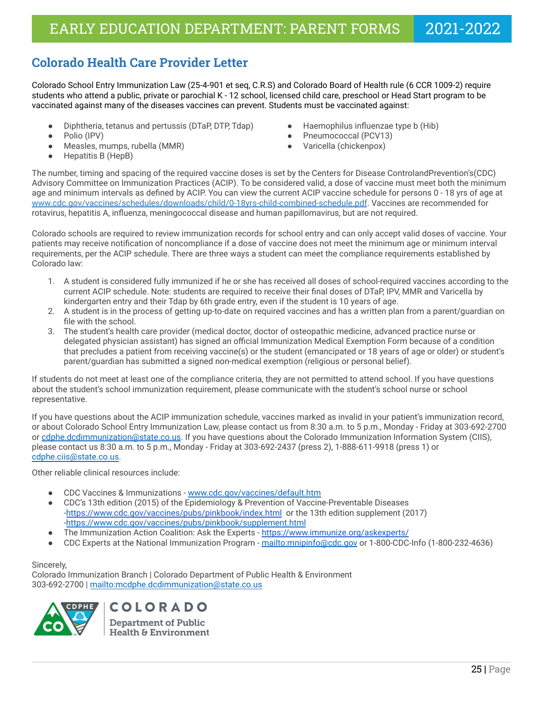# <span id="page-24-0"></span>**Colorado Health Care Provider Letter**

Colorado School Entry Immunization Law (25-4-901 et seq, C.R.S) and Colorado Board of Health rule (6 CCR 1009-2) require students who attend a public, private or parochial K - 12 school, licensed child care, preschool or Head Start program to be vaccinated against many of the diseases vaccines can prevent. Students must be vaccinated against:

- Diphtheria, tetanus and pertussis (DTaP, DTP, Tdap) → Haemophilus influenzae type b (Hib)
- 
- Measles, mumps, rubella (MMR) Varicella (chickenpox)
- 
- Polio (IPV) Pneumococcal (PCV13)
	-

● Hepatitis B (HepB)

The number, timing and spacing of the required vaccine doses is set by the Centers for Disease ControlandPrevention's(CDC) Advisory Committee on Immunization Practices (ACIP). To be considered valid, a dose of vaccine must meet both the minimum age and minimum intervals as defined by ACIP. You can view the current ACIP vaccine schedule for persons 0 - 18 yrs of age at [www.cdc.gov/vaccines/schedules/downloads/child/0-18yrs-child-combined-schedule.pdf.](http://www.cdc.gov/vaccines/schedules/downloads/child/0-18yrs-child-combined-schedule.pdf) Vaccines are recommended for rotavirus, hepatitis A, influenza, meningococcal disease and human papillomavirus, but are not required.

Colorado schools are required to review immunization records for school entry and can only accept valid doses of vaccine. Your patients may receive notification of noncompliance if a dose of vaccine does not meet the minimum age or minimum interval requirements, per the ACIP schedule. There are three ways a student can meet the compliance requirements established by Colorado law:

- 1. A student is considered fully immunized if he or she has received all doses of school-required vaccines according to the current ACIP schedule. Note: students are required to receive their final doses of DTaP, IPV, MMR and Varicella by kindergarten entry and their Tdap by 6th grade entry, even if the student is 10 years of age.
- 2. A student is in the process of getting up-to-date on required vaccines and has a written plan from a parent/guardian on file with the school.
- 3. The student's health care provider (medical doctor, doctor of osteopathic medicine, advanced practice nurse or delegated physician assistant) has signed an official Immunization Medical Exemption Form because of a condition that precludes a patient from receiving vaccine(s) or the student (emancipated or 18 years of age or older) or student's parent/guardian has submitted a signed non-medical exemption (religious or personal belief).

If students do not meet at least one of the compliance criteria, they are not permitted to attend school. If you have questions about the student's school immunization requirement, please communicate with the student's school nurse or school representative.

If you have questions about the ACIP immunization schedule, vaccines marked as invalid in your patient's immunization record, or about Colorado School Entry Immunization Law, please contact us from 8:30 a.m. to 5 p.m., Monday - Friday at 303-692-2700 or [cdphe.dcdimmunization@state.co.us](mailto:cdphe.dcdimmunization@state.co.us). If you have questions about the Colorado Immunization Information System (CIIS), please contact us 8:30 a.m. to 5 p.m., Monday - Friday at 303-692-2437 (press 2), 1-888-611-9918 (press 1) or [cdphe.ciis@state.co.us](mailto:cdphe.ciis@state.co.us).

Other reliable clinical resources include:

- CDC Vaccines & Immunizations [www.cdc.gov/vaccines/default.htm](http://www.cdc.gov/vaccines/default.htm)
- CDC's 13th edition (2015) of the Epidemiology & Prevention of Vaccine-Preventable Diseases -<https://www.cdc.gov/vaccines/pubs/pinkbook/index.html> or the 13th edition supplement (2017) -https://www.cdc.gov/vaccines/pubs/pinkbook/supplement.html
- The Immunization Action Coalition: Ask the Experts <https://www.immunize.org/askexperts/>
- CDC Experts at the National Immunization Program <mailto:mnipinfo@cdc.gov> or 1-800-CDC-Info (1-800-232-4636)

#### Sincerely,

Colorado Immunization Branch | Colorado Department of Public Health & Environment 303-692-2700 | <mailto:mcdphe.dcdimmunization@state.co.us>



COLORADO Department of Public Health & Environment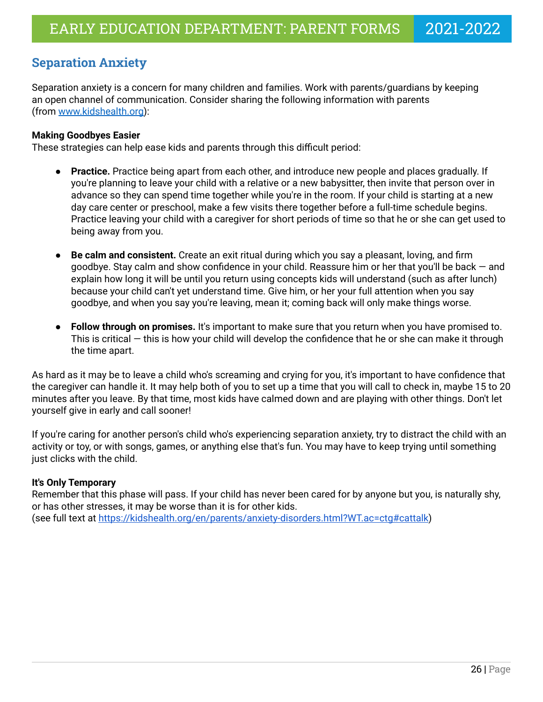# <span id="page-25-0"></span>**Separation Anxiety**

Separation anxiety is a concern for many children and families. Work with parents/guardians by keeping an open channel of communication. Consider sharing the following information with parents (from [www.kidshealth.org\)](http://www.kidshealth.org):

### **Making Goodbyes Easier**

These strategies can help ease kids and parents through this difficult period:

- **Practice.** Practice being apart from each other, and introduce new people and places gradually. If you're planning to leave your child with a relative or a new babysitter, then invite that person over in advance so they can spend time together while you're in the room. If your child is starting at a new day care center or preschool, make a few visits there together before a full-time schedule begins. Practice leaving your child with a caregiver for short periods of time so that he or she can get used to being away from you.
- **Be calm and consistent.** Create an exit ritual during which you say a pleasant, loving, and firm goodbye. Stay calm and show confidence in your child. Reassure him or her that you'll be back — and explain how long it will be until you return using concepts kids will understand (such as after lunch) because your child can't yet understand time. Give him, or her your full attention when you say goodbye, and when you say you're leaving, mean it; coming back will only make things worse.
- **Follow through on promises.** It's important to make sure that you return when you have promised to. This is critical — this is how your child will develop the confidence that he or she can make it through the time apart.

As hard as it may be to leave a child who's screaming and crying for you, it's important to have confidence that the caregiver can handle it. It may help both of you to set up a time that you will call to check in, maybe 15 to 20 minutes after you leave. By that time, most kids have calmed down and are playing with other things. Don't let yourself give in early and call sooner!

If you're caring for another person's child who's experiencing separation anxiety, try to distract the child with an activity or toy, or with songs, games, or anything else that's fun. You may have to keep trying until something just clicks with the child.

### **It's Only Temporary**

Remember that this phase will pass. If your child has never been cared for by anyone but you, is naturally shy, or has other stresses, it may be worse than it is for other kids. (see full text at <https://kidshealth.org/en/parents/anxiety-disorders.html?WT.ac=ctg#cattalk>)